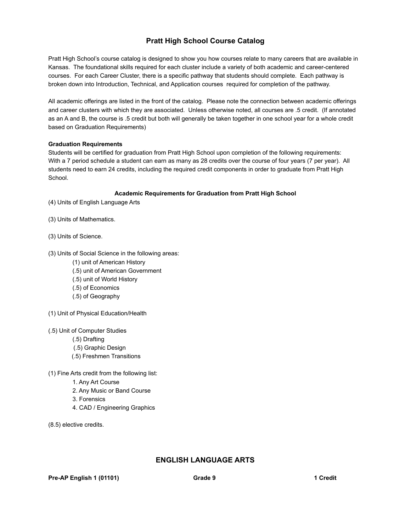# **Pratt High School Course Catalog**

Pratt High School's course catalog is designed to show you how courses relate to many careers that are available in Kansas. The foundational skills required for each cluster include a variety of both academic and career-centered courses. For each Career Cluster, there is a specific pathway that students should complete. Each pathway is broken down into Introduction, Technical, and Application courses required for completion of the pathway.

All academic offerings are listed in the front of the catalog. Please note the connection between academic offerings and career clusters with which they are associated. Unless otherwise noted, all courses are .5 credit. (If annotated as an A and B, the course is .5 credit but both will generally be taken together in one school year for a whole credit based on Graduation Requirements)

## **Graduation Requirements**

Students will be certified for graduation from Pratt High School upon completion of the following requirements: With a 7 period schedule a student can earn as many as 28 credits over the course of four years (7 per year). All students need to earn 24 credits, including the required credit components in order to graduate from Pratt High School.

## **Academic Requirements for Graduation from Pratt High School**

- (4) Units of English Language Arts
- (3) Units of Mathematics.
- (3) Units of Science.
- (3) Units of Social Science in the following areas:
	- (1) unit of American History
	- (.5) unit of American Government
	- (.5) unit of World History
	- (.5) of Economics
	- (.5) of Geography
- (1) Unit of Physical Education/Health
- (.5) Unit of Computer Studies
	- (.5) Drafting
	- (.5) Graphic Design
	- (.5) Freshmen Transitions
- (1) Fine Arts credit from the following list:
	- 1. Any Art Course
	- 2. Any Music or Band Course
	- 3. Forensics
	- 4. CAD / Engineering Graphics
- (8.5) elective credits.

## **ENGLISH LANGUAGE ARTS**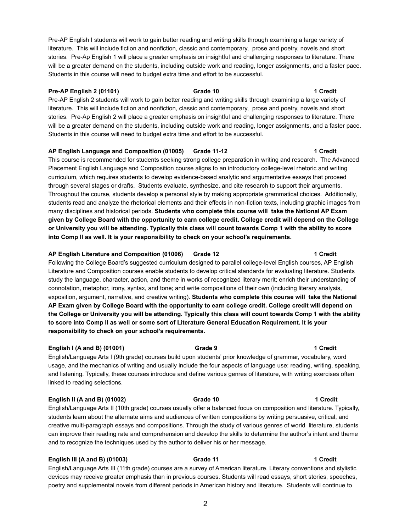Pre-AP English I students will work to gain better reading and writing skills through examining a large variety of literature. This will include fiction and nonfiction, classic and contemporary, prose and poetry, novels and short stories. Pre-Ap English 1 will place a greater emphasis on insightful and challenging responses to literature. There will be a greater demand on the students, including outside work and reading, longer assignments, and a faster pace. Students in this course will need to budget extra time and effort to be successful.

## **Pre-AP English 2 (01101) Grade 10 1 Credit**

Pre-AP English 2 students will work to gain better reading and writing skills through examining a large variety of literature. This will include fiction and nonfiction, classic and contemporary, prose and poetry, novels and short stories. Pre-Ap English 2 will place a greater emphasis on insightful and challenging responses to literature. There will be a greater demand on the students, including outside work and reading, longer assignments, and a faster pace. Students in this course will need to budget extra time and effort to be successful.

## **AP English Language and Composition (01005) Grade 11-12 1 Credit**

This course is recommended for students seeking strong college preparation in writing and research. The Advanced Placement English Language and Composition course aligns to an introductory college-level rhetoric and writing curriculum, which requires students to develop evidence-based analytic and argumentative essays that proceed through several stages or drafts. Students evaluate, synthesize, and cite research to support their arguments. Throughout the course, students develop a personal style by making appropriate grammatical choices. Additionally, students read and analyze the rhetorical elements and their effects in non-fiction texts, including graphic images from many disciplines and historical periods. **Students who complete this course will take the National AP Exam given by College Board with the opportunity to earn college credit. College credit will depend on the College or University you will be attending. Typically this class will count towards Comp 1 with the ability to score into Comp II as well. It is your responsibility to check on your school's requirements.**

## **AP English Literature and Composition (01006) Grade 12 1 Credit**

Following the College Board's suggested curriculum designed to parallel college-level English courses, AP English Literature and Composition courses enable students to develop critical standards for evaluating literature. Students study the language, character, action, and theme in works of recognized literary merit; enrich their understanding of connotation, metaphor, irony, syntax, and tone; and write compositions of their own (including literary analysis, exposition, argument, narrative, and creative writing). **Students who complete this course will take the National AP Exam given by College Board with the opportunity to earn college credit. College credit will depend on the College or University you will be attending. Typically this class will count towards Comp 1 with the ability to score into Comp II as well or some sort of Literature General Education Requirement. It is your responsibility to check on your school's requirements.**

## **English I (A and B) (01001) Grade 9 1 Credit**

English/Language Arts I (9th grade) courses build upon students' prior knowledge of grammar, vocabulary, word usage, and the mechanics of writing and usually include the four aspects of language use: reading, writing, speaking, and listening. Typically, these courses introduce and define various genres of literature, with writing exercises often linked to reading selections.

## **English II (A and B) (01002) Grade 10 1 Credit**

English/Language Arts II (10th grade) courses usually offer a balanced focus on composition and literature. Typically, students learn about the alternate aims and audiences of written compositions by writing persuasive, critical, and creative multi-paragraph essays and compositions. Through the study of various genres of world literature, students can improve their reading rate and comprehension and develop the skills to determine the author's intent and theme and to recognize the techniques used by the author to deliver his or her message.

## **English III (A and B) (01003) Grade 11 1 Credit**

English/Language Arts III (11th grade) courses are a survey of American literature. Literary conventions and stylistic devices may receive greater emphasis than in previous courses. Students will read essays, short stories, speeches, poetry and supplemental novels from different periods in American history and literature. Students will continue to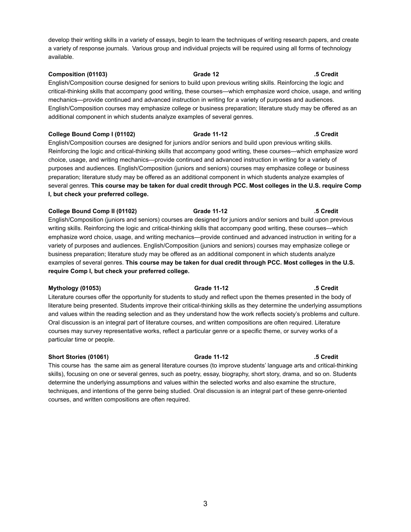develop their writing skills in a variety of essays, begin to learn the techniques of writing research papers, and create a variety of response journals. Various group and individual projects will be required using all forms of technology available.

## **Composition (01103) Grade 12 .5 Credit** English/Composition course designed for seniors to build upon previous writing skills. Reinforcing the logic and critical-thinking skills that accompany good writing, these courses—which emphasize word choice, usage, and writing mechanics—provide continued and advanced instruction in writing for a variety of purposes and audiences. English/Composition courses may emphasize college or business preparation; literature study may be offered as an additional component in which students analyze examples of several genres.

## **College Bound Comp I (01102) Grade 11-12 .5 Credit**

English/Composition courses are designed for juniors and/or seniors and build upon previous writing skills. Reinforcing the logic and critical-thinking skills that accompany good writing, these courses—which emphasize word choice, usage, and writing mechanics—provide continued and advanced instruction in writing for a variety of purposes and audiences. English/Composition (juniors and seniors) courses may emphasize college or business preparation; literature study may be offered as an additional component in which students analyze examples of several genres. **This course may be taken for dual credit through PCC. Most colleges in the U.S. require Comp I, but check your preferred college.**

## **College Bound Comp II (01102) Grade 11-12 .5 Credit**

English/Composition (juniors and seniors) courses are designed for juniors and/or seniors and build upon previous writing skills. Reinforcing the logic and critical-thinking skills that accompany good writing, these courses—which emphasize word choice, usage, and writing mechanics—provide continued and advanced instruction in writing for a variety of purposes and audiences. English/Composition (juniors and seniors) courses may emphasize college or business preparation; literature study may be offered as an additional component in which students analyze examples of several genres. **This course may be taken for dual credit through PCC. Most colleges in the U.S. require Comp I, but check your preferred college.**

## **Mythology (01053) Grade 11-12 .5 Credit**

Literature courses offer the opportunity for students to study and reflect upon the themes presented in the body of literature being presented. Students improve their critical-thinking skills as they determine the underlying assumptions and values within the reading selection and as they understand how the work reflects society's problems and culture. Oral discussion is an integral part of literature courses, and written compositions are often required. Literature courses may survey representative works, reflect a particular genre or a specific theme, or survey works of a particular time or people.

## **Short Stories (01061) Grade 11-12 .5 Credit**

This course has the same aim as general literature courses (to improve students' language arts and critical-thinking skills), focusing on one or several genres, such as poetry, essay, biography, short story, drama, and so on. Students determine the underlying assumptions and values within the selected works and also examine the structure, techniques, and intentions of the genre being studied. Oral discussion is an integral part of these genre-oriented courses, and written compositions are often required.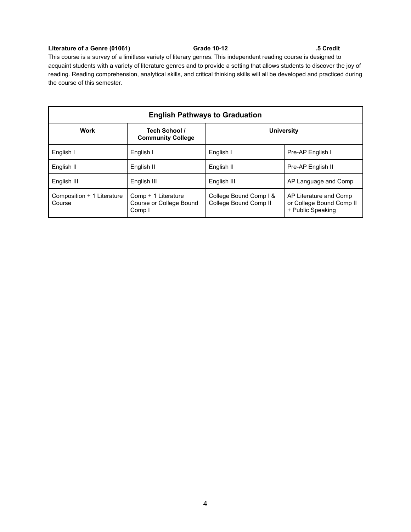## **Literature of a Genre (01061) Grade 10-12 .5 Credit**

This course is a survey of a limitless variety of literary genres. This independent reading course is designed to acquaint students with a variety of literature genres and to provide a setting that allows students to discover the joy of reading. Reading comprehension, analytical skills, and critical thinking skills will all be developed and practiced during the course of this semester.

| <b>English Pathways to Graduation</b> |                                                          |                                                 |                                                                         |
|---------------------------------------|----------------------------------------------------------|-------------------------------------------------|-------------------------------------------------------------------------|
| Work                                  | Tech School /<br><b>Community College</b>                | <b>University</b>                               |                                                                         |
| English I                             | English I                                                | English I                                       | Pre-AP English I                                                        |
| English II                            | English II                                               | English II                                      | Pre-AP English II                                                       |
| English III                           | English III                                              | English III                                     | AP Language and Comp                                                    |
| Composition + 1 Literature<br>Course  | Comp + 1 Literature<br>Course or College Bound<br>Comp I | College Bound Comp I &<br>College Bound Comp II | AP Literature and Comp<br>or College Bound Comp II<br>+ Public Speaking |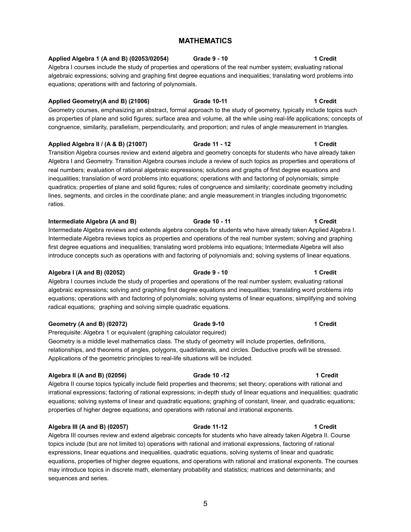# **MATHEMATICS**

# **Applied Algebra 1 (A and B) (02053/02054) Grade 9 - 10 1 Credit**

Algebra I courses include the study of properties and operations of the real number system; evaluating rational algebraic expressions; solving and graphing first degree equations and inequalities; translating word problems into equations; operations with and factoring of polynomials.

## **Applied Geometry(A and B) (21006) Grade 10-11 1 Credit**

Geometry courses, emphasizing an abstract, formal approach to the study of geometry, typically include topics such as properties of plane and solid figures; surface area and volume, all the while using real-life applications; concepts of congruence, similarity, parallelism, perpendicularity, and proportion; and rules of angle measurement in triangles.

## **Applied Algebra II / (A & B) (21007) Grade 11 - 12 1 Credit**

Transition Algebra courses review and extend algebra and geometry concepts for students who have already taken Algebra I and Geometry. Transition Algebra courses include a review of such topics as properties and operations of real numbers; evaluation of rational algebraic expressions; solutions and graphs of first degree equations and inequalities; translation of word problems into equations; operations with and factoring of polynomials; simple quadratics; properties of plane and solid figures; rules of congruence and similarity; coordinate geometry including lines, segments, and circles in the coordinate plane; and angle measurement in triangles including trigonometric ratios.

## **Intermediate Algebra (A and B) Grade 10 - 11 1 Credit**

Intermediate Algebra reviews and extends algebra concepts for students who have already taken Applied Algebra I. Intermediate Algebra reviews topics as properties and operations of the real number system; solving and graphing first degree equations and inequalities; translating word problems into equations; Intermediate Algebra will also introduce concepts such as operations with and factoring of polynomials and; solving systems of linear equations.

## **Algebra I (A and B) (02052) Grade 9 - 10 1 Credit**

Algebra I courses include the study of properties and operations of the real number system; evaluating rational algebraic expressions; solving and graphing first degree equations and inequalities; translating word problems into equations; operations with and factoring of polynomials; solving systems of linear equations; simplifying and solving radical equations; graphing and solving simple quadratic equations.

## **Geometry (A and B) (02072) Grade 9-10 1 Credit**

Prerequisite: Algebra 1 or equivalent (graphing calculator required) Geometry is a middle level mathematics class. The study of geometry will include properties, definitions, relationships, and theorems of angles, polygons, quadrilaterals, and circles. Deductive proofs will be stressed. Applications of the geometric principles to real-life situations will be included.

## **Algebra II (A and B) (02056) Grade 10 -12 1 Credit**

Algebra II course topics typically include field properties and theorems; set theory; operations with rational and irrational expressions; factoring of rational expressions; in-depth study of linear equations and inequalities; quadratic equations; solving systems of linear and quadratic equations; graphing of constant, linear, and quadratic equations; properties of higher degree equations; and operations with rational and irrational exponents.

# **Algebra III (A and B) (02057) Grade 11-12 1 Credit**

Algebra III courses review and extend algebraic concepts for students who have already taken Algebra II. Course topics include (but are not limited to) operations with rational and irrational expressions, factoring of rational expressions, linear equations and inequalities, quadratic equations, solving systems of linear and quadratic equations, properties of higher degree equations, and operations with rational and irrational exponents. The courses may introduce topics in discrete math, elementary probability and statistics; matrices and determinants; and sequences and series.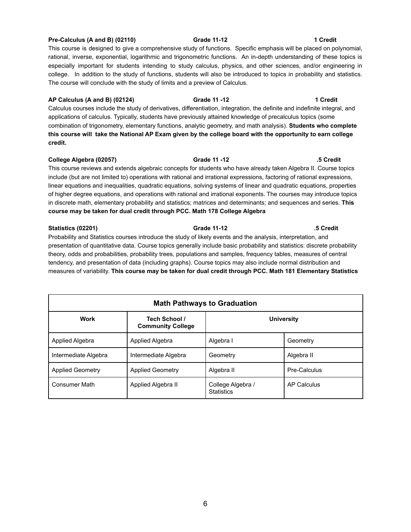## **Pre-Calculus (A and B) (02110) Grade 11-12 1 Credit**

This course is designed to give a comprehensive study of functions. Specific emphasis will be placed on polynomial, rational, inverse, exponential, logarithmic and trigonometric functions. An in-depth understanding of these topics is especially important for students intending to study calculus, physics, and other sciences, and/or engineering in college. In addition to the study of functions, students will also be introduced to topics in probability and statistics. The course will conclude with the study of limits and a preview of Calculus.

**AP Calculus (A and B) (02124) Grade 11 -12 1 Credit** Calculus courses include the study of derivatives, differentiation, integration, the definite and indefinite integral, and applications of calculus. Typically, students have previously attained knowledge of precalculus topics (some combination of trigonometry, elementary functions, analytic geometry, and math analysis). **Students who complete this course will take the National AP Exam given by the college board with the opportunity to earn college credit.**

# **College Algebra (02057) Grade 11 -12 .5 Credit** This course reviews and extends algebraic concepts for students who have already taken Algebra II. Course topics include (but are not limited to) operations with rational and irrational expressions, factoring of rational expressions, linear equations and inequalities, quadratic equations, solving systems of linear and quadratic equations, properties of higher degree equations, and operations with rational and irrational exponents. The courses may introduce topics in discrete math, elementary probability and statistics; matrices and determinants; and sequences and series. **This course may be taken for dual credit through PCC. Math 178 College Algebra**

**Statistics (02201) Grade 11-12 .5 Credit** Probability and Statistics courses introduce the study of likely events and the analysis, interpretation, and presentation of quantitative data. Course topics generally include basic probability and statistics: discrete probability theory, odds and probabilities, probability trees, populations and samples, frequency tables, measures of central tendency, and presentation of data (including graphs). Course topics may also include normal distribution and measures of variability. **This course may be taken for dual credit through PCC. Math 181 Elementary Statistics**

| <b>Math Pathways to Graduation</b> |                                           |                                        |              |
|------------------------------------|-------------------------------------------|----------------------------------------|--------------|
| Work                               | Tech School /<br><b>Community College</b> | <b>University</b>                      |              |
| Applied Algebra                    | Applied Algebra                           | Algebra I                              | Geometry     |
| Intermediate Algebra               | Intermediate Algebra                      | Geometry                               | Algebra II   |
| <b>Applied Geometry</b>            | <b>Applied Geometry</b>                   | Algebra II                             | Pre-Calculus |
| <b>Consumer Math</b>               | Applied Algebra II                        | College Algebra /<br><b>Statistics</b> | AP Calculus  |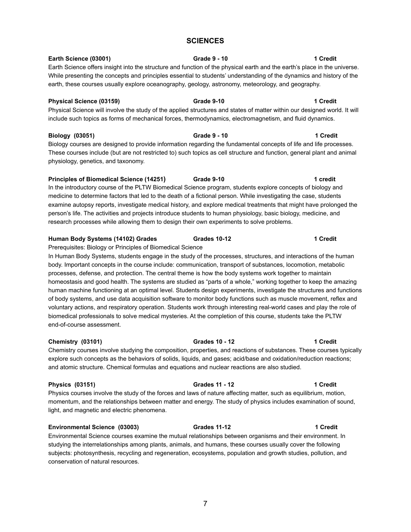# **SCIENCES**

# **Earth Science (03001) Grade 9 - 10 1 Credit**

Earth Science offers insight into the structure and function of the physical earth and the earth's place in the universe. While presenting the concepts and principles essential to students' understanding of the dynamics and history of the earth, these courses usually explore oceanography, geology, astronomy, meteorology, and geography.

## **Physical Science (03159) Grade 9-10 1 Credit**

Physical Science will involve the study of the applied structures and states of matter within our designed world. It will include such topics as forms of mechanical forces, thermodynamics, electromagnetism, and fluid dynamics.

## **Biology (03051) Grade 9 - 10 1 Credit**

Biology courses are designed to provide information regarding the fundamental concepts of life and life processes. These courses include (but are not restricted to) such topics as cell structure and function, general plant and animal physiology, genetics, and taxonomy.

## **Principles of Biomedical Science (14251) Grade 9-10 1 credit**

In the introductory course of the PLTW Biomedical Science program, students explore concepts of biology and medicine to determine factors that led to the death of a fictional person. While investigating the case, students examine autopsy reports, investigate medical history, and explore medical treatments that might have prolonged the person's life. The activities and projects introduce students to human physiology, basic biology, medicine, and research processes while allowing them to design their own experiments to solve problems.

## **Human Body Systems (14102) Grades Grades 10-12 1 Credit**

## Prerequisites: Biology or Principles of Biomedical Science

In Human Body Systems, students engage in the study of the processes, structures, and interactions of the human body. Important concepts in the course include: communication, transport of substances, locomotion, metabolic processes, defense, and protection. The central theme is how the body systems work together to maintain homeostasis and good health. The systems are studied as "parts of a whole," working together to keep the amazing human machine functioning at an optimal level. Students design experiments, investigate the structures and functions of body systems, and use data acquisition software to monitor body functions such as muscle movement, reflex and voluntary actions, and respiratory operation. Students work through interesting real-world cases and play the role of biomedical professionals to solve medical mysteries. At the completion of this course, students take the PLTW end-of-course assessment.

**Chemistry (03101) Grades 10 - 12 1 Credit** Chemistry courses involve studying the composition, properties, and reactions of substances. These courses typically explore such concepts as the behaviors of solids, liquids, and gases; acid/base and oxidation/reduction reactions; and atomic structure. Chemical formulas and equations and nuclear reactions are also studied.

## **Physics (03151) Grades 11 - 12 1 Credit**

Physics courses involve the study of the forces and laws of nature affecting matter, such as equilibrium, motion, momentum, and the relationships between matter and energy. The study of physics includes examination of sound, light, and magnetic and electric phenomena.

## **Environmental Science (03003) Grades 11-12 1 Credit**

Environmental Science courses examine the mutual relationships between organisms and their environment. In studying the interrelationships among plants, animals, and humans, these courses usually cover the following subjects: photosynthesis, recycling and regeneration, ecosystems, population and growth studies, pollution, and conservation of natural resources.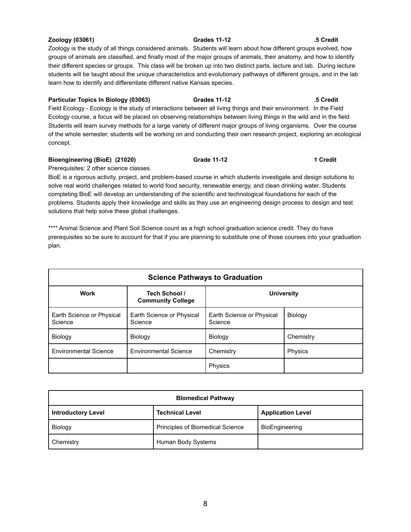## **Zoology (03061) Grades 11-12 .5 Credit**

concept.

Zoology is the study of all things considered animals. Students will learn about how different groups evolved, how groups of animals are classified, and finally most of the major groups of animals, their anatomy, and how to identify their different species or groups. This class will be broken up into two distinct parts, lecture and lab. During lecture students will be taught about the unique characteristics and evolutionary pathways of different groups, and in the lab learn how to identify and differentiate different native Kansas species.

# **Particular Topics In Biology (03063) Grades 11-12 .5 Credit** Field Ecology - Ecology is the study of interactions between all living things and their environment. In the Field Ecology course, a focus will be placed on observing relationships between living things in the wild and in the field. Students will learn survey methods for a large variety of different major groups of living organisms. Over the course of the whole semester, students will be working on and conducting their own research project, exploring an ecological

# **Bioengineering (BioE) (21020) Grade 11-12 1 Credit**

Prerequisites: 2 other science classes.

BioE is a rigorous activity, project, and problem-based course in which students investigate and design solutions to solve real world challenges related to world food security, renewable energy, and clean drinking water. Students completing BioE will develop an understanding of the scientific and technological foundations for each of the problems. Students apply their knowledge and skills as they use an engineering design process to design and test solutions that help solve these global challenges.

\*\*\*\* Animal Science and Plant Soil Science count as a high school graduation science credit. They do have prerequisites so be sure to account for that if you are planning to substitute one of those courses into your graduation plan.

| <b>Science Pathways to Graduation</b> |                                                                |                                      |           |
|---------------------------------------|----------------------------------------------------------------|--------------------------------------|-----------|
| <b>Work</b>                           | Tech School /<br><b>University</b><br><b>Community College</b> |                                      |           |
| Earth Science or Physical<br>Science  | Earth Science or Physical<br>Science                           | Earth Science or Physical<br>Science | Biology   |
| Biology                               | Biology                                                        | Biology                              | Chemistry |
| <b>Environmental Science</b>          | <b>Environmental Science</b>                                   | Chemistry                            | Physics   |
|                                       |                                                                | Physics                              |           |

| <b>Blomedical Pathway</b> |                                  |                          |  |
|---------------------------|----------------------------------|--------------------------|--|
| <b>Introductory Level</b> | <b>Technical Level</b>           | <b>Application Level</b> |  |
| Biology                   | Principles of Biomedical Science | BioEngineering           |  |
| Chemistry                 | Human Body Systems               |                          |  |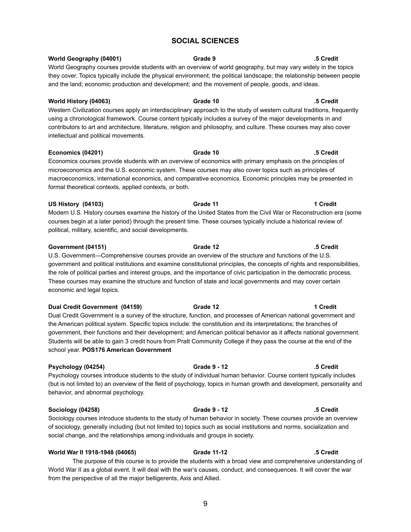## 9

# **SOCIAL SCIENCES**

# **World Geography (04001) Grade 9 .5 Credit** World Geography courses provide students with an overview of world geography, but may vary widely in the topics they cover. Topics typically include the physical environment; the political landscape; the relationship between people and the land; economic production and development; and the movement of people, goods, and ideas.

**World History (04063) Grade 10 .5 Credit** Western Civilization courses apply an interdisciplinary approach to the study of western cultural traditions, frequently using a chronological framework. Course content typically includes a survey of the major developments in and contributors to art and architecture, literature, religion and philosophy, and culture. These courses may also cover intellectual and political movements.

**Economics (04201) Grade 10 .5 Credit** Economics courses provide students with an overview of economics with primary emphasis on the principles of microeconomics and the U.S. economic system. These courses may also cover topics such as principles of macroeconomics, international economics, and comparative economics. Economic principles may be presented in formal theoretical contexts, applied contexts, or both.

**US History (04103) Grade 11 1 Credit** Modern U.S. History courses examine the history of the United States from the Civil War or Reconstruction era (some courses begin at a later period) through the present time. These courses typically include a historical review of political, military, scientific, and social developments.

# **Government (04151) Grade 12 .5 Credit** U.S. Government—Comprehensive courses provide an overview of the structure and functions of the U.S. government and political institutions and examine constitutional principles, the concepts of rights and responsibilities, the role of political parties and interest groups, and the importance of civic participation in the democratic process. These courses may examine the structure and function of state and local governments and may cover certain economic and legal topics.

**Dual Credit Government (04159) Grade 12 1 Credit** Dual Credit Government is a survey of the structure, function, and processes of American national government and the American political system. Specific topics include: the constitution and its interpretations; the branches of government, their functions and their development; and American political behavior as it affects national government. Students will be able to gain 3 credit hours from Pratt Community College if they pass the course at the end of the school year. **POS176 American Government**

# **Psychology (04254) Grade 9 - 12 .5 Credit**

Psychology courses introduce students to the study of individual human behavior. Course content typically includes (but is not limited to) an overview of the field of psychology, topics in human growth and development, personality and behavior, and abnormal psychology.

# **Sociology (04258) Grade 9 - 12 .5 Credit**

Sociology courses introduce students to the study of human behavior in society. These courses provide an overview of sociology, generally including (but not limited to) topics such as social institutions and norms, socialization and social change, and the relationships among individuals and groups in society.

## **World War II 1918-1948 (04065) Grade 11-12 .5 Credit**

The purpose of this course is to provide the students with a broad view and comprehensive understanding of World War II as a global event. It will deal with the war's causes, conduct, and consequences. It will cover the war from the perspective of all the major belligerents, Axis and Allied.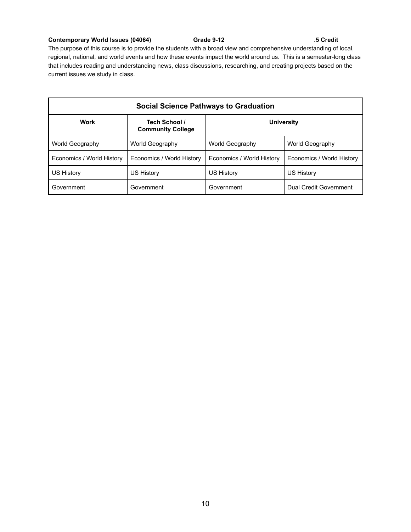## **Contemporary World Issues (04064) Grade 9-12 .5 Credit**

The purpose of this course is to provide the students with a broad view and comprehensive understanding of local, regional, national, and world events and how these events impact the world around us. This is a semester-long class that includes reading and understanding news, class discussions, researching, and creating projects based on the current issues we study in class.

| <b>Social Science Pathways to Graduation</b> |                                           |                           |                               |
|----------------------------------------------|-------------------------------------------|---------------------------|-------------------------------|
| Work                                         | Tech School /<br><b>Community College</b> | <b>University</b>         |                               |
| World Geography                              | World Geography                           | World Geography           | World Geography               |
| Economics / World History                    | Economics / World History                 | Economics / World History | Economics / World History     |
| US History                                   | US History                                | US History                | US History                    |
| Government                                   | Government                                | Government                | <b>Dual Credit Government</b> |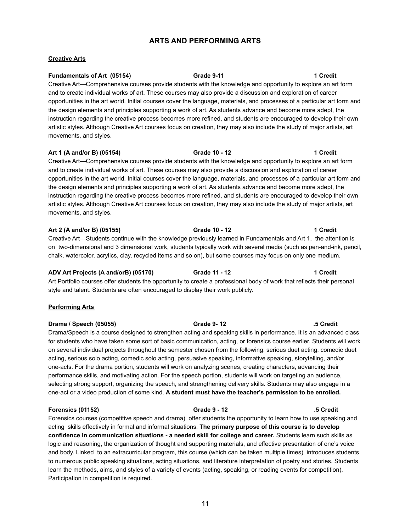# **ARTS AND PERFORMING ARTS**

## **Creative Arts**

**Fundamentals of Art (05154) Grade 9-11 1 Credit** Creative Art—Comprehensive courses provide students with the knowledge and opportunity to explore an art form and to create individual works of art. These courses may also provide a discussion and exploration of career opportunities in the art world. Initial courses cover the language, materials, and processes of a particular art form and the design elements and principles supporting a work of art. As students advance and become more adept, the instruction regarding the creative process becomes more refined, and students are encouraged to develop their own artistic styles. Although Creative Art courses focus on creation, they may also include the study of major artists, art movements, and styles.

**Art 1 (A and/or B) (05154) Grade 10 - 12 1 Credit** Creative Art—Comprehensive courses provide students with the knowledge and opportunity to explore an art form and to create individual works of art. These courses may also provide a discussion and exploration of career opportunities in the art world. Initial courses cover the language, materials, and processes of a particular art form and the design elements and principles supporting a work of art. As students advance and become more adept, the instruction regarding the creative process becomes more refined, and students are encouraged to develop their own artistic styles. Although Creative Art courses focus on creation, they may also include the study of major artists, art movements, and styles.

**Art 2 (A and/or B) (05155) Grade 10 - 12 1 Credit** Creative Art—Students continue with the knowledge previously learned in Fundamentals and Art 1, the attention is on two-dimensional and 3 dimensional work, students typically work with several media (such as pen-and-ink, pencil, chalk, watercolor, acrylics, clay, recycled items and so on), but some courses may focus on only one medium.

**ADV Art Projects (A and/orB) (05170) Grade 11 - 12 1 Credit** Art Portfolio courses offer students the opportunity to create a professional body of work that reflects their personal style and talent. Students are often encouraged to display their work publicly.

**Performing Arts**

## **Drama / Speech (05055) Grade 9- 12 .5 Credit**

Drama/Speech is a course designed to strengthen acting and speaking skills in performance. It is an advanced class for students who have taken some sort of basic communication, acting, or forensics course earlier. Students will work on several individual projects throughout the semester chosen from the following: serious duet acting, comedic duet acting, serious solo acting, comedic solo acting, persuasive speaking, informative speaking, storytelling, and/or one-acts. For the drama portion, students will work on analyzing scenes, creating characters, advancing their performance skills, and motivating action. For the speech portion, students will work on targeting an audience, selecting strong support, organizing the speech, and strengthening delivery skills. Students may also engage in a one-act or a video production of some kind. **A student must have the teacher's permission to be enrolled.**

**Forensics (01152) Grade 9 - 12 .5 Credit**

Forensics courses (competitive speech and drama) offer students the opportunity to learn how to use speaking and acting skills effectively in formal and informal situations. **The primary purpose of this course is to develop confidence in communication situations - a needed skill for college and career.** Students learn such skills as logic and reasoning, the organization of thought and supporting materials, and effective presentation of one's voice and body. Linked to an extracurricular program, this course (which can be taken multiple times) introduces students to numerous public speaking situations, acting situations, and literature interpretation of poetry and stories. Students learn the methods, aims, and styles of a variety of events (acting, speaking, or reading events for competition). Participation in competition is required.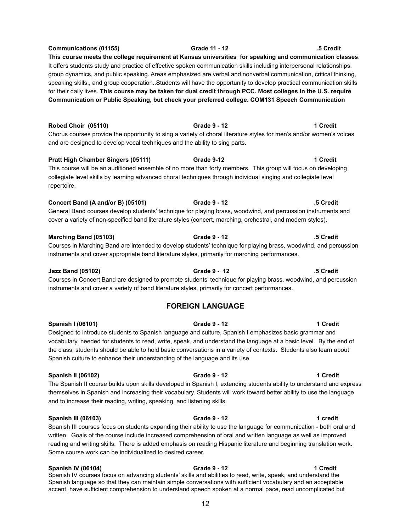## Designed to introduce students to Spanish language and culture, Spanish I emphasizes basic grammar and vocabulary, needed for students to read, write, speak, and understand the language at a basic level. By the end of

# **Spanish II (06102) Grade 9 - 12 1 Credit**

The Spanish II course builds upon skills developed in Spanish I, extending students ability to understand and express themselves in Spanish and increasing their vocabulary. Students will work toward better ability to use the language and to increase their reading, writing, speaking, and listening skills.

the class, students should be able to hold basic conversations in a variety of contexts. Students also learn about

## **Spanish III (06103) Grade 9 - 12 1 credit**

Spanish III courses focus on students expanding their ability to use the language for communication - both oral and written. Goals of the course include increased comprehension of oral and written language as well as improved reading and writing skills. There is added emphasis on reading Hispanic literature and beginning translation work. Some course work can be individualized to desired career.

**Spanish IV (06104) Grade 9 - 12 1 Credit** Spanish IV courses focus on advancing students' skills and abilities to read, write, speak, and understand the Spanish language so that they can maintain simple conversations with sufficient vocabulary and an acceptable accent, have sufficient comprehension to understand speech spoken at a normal pace, read uncomplicated but

Spanish culture to enhance their understanding of the language and its use.

**FOREIGN LANGUAGE Spanish I (06101) Grade 9 - 12 1 Credit**

repertoire.

**Jazz Band (05102) Grade 9 - 12 .5 Credit** Courses in Concert Band are designed to promote students' technique for playing brass, woodwind, and percussion

# **Marching Band (05103) Grade 9 - 12 .5 Credit**

cover a variety of non-specified band literature styles (concert, marching, orchestral, and modern styles).

Courses in Marching Band are intended to develop students' technique for playing brass, woodwind, and percussion

# instruments and cover appropriate band literature styles, primarily for marching performances.

instruments and cover a variety of band literature styles, primarily for concert performances.

# **Pratt High Chamber Singers (05111) Grade 9-12 1 Credit**

**Concert Band (A and/or B) (05101) Grade 9 - 12 .5 Credit**

# **Communications (01155) Grade 11 - 12 .5 Credit**

It offers students study and practice of effective spoken communication skills including interpersonal relationships, group dynamics, and public speaking. Areas emphasized are verbal and nonverbal communication, critical thinking, speaking skills,, and group cooperation..Students will have the opportunity to develop practical communication skills for their daily lives. **This course may be taken for dual credit through PCC. Most colleges in the U.S. require Communication or Public Speaking, but check your preferred college. COM131 Speech Communication**

**Robed Choir (05110) Grade 9 - 12 1 Credit** Chorus courses provide the opportunity to sing a variety of choral literature styles for men's and/or women's voices

This course will be an auditioned ensemble of no more than forty members. This group will focus on developing collegiate level skills by learning advanced choral techniques through individual singing and collegiate level

General Band courses develop students' technique for playing brass, woodwind, and percussion instruments and

and are designed to develop vocal techniques and the ability to sing parts.

# **This course meets the college requirement at Kansas universities for speaking and communication classes**.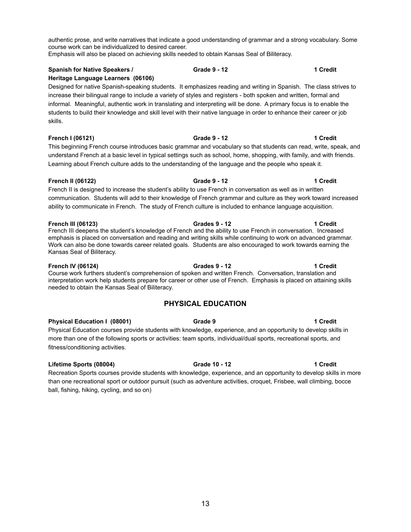authentic prose, and write narratives that indicate a good understanding of grammar and a strong vocabulary. Some course work can be individualized to desired career.

Emphasis will also be placed on achieving skills needed to obtain Kansas Seal of Biliteracy.

# **Spanish for Native Speakers / Grade 9 - 12 1 Credit**

# **Heritage Language Learners (06106)**

Designed for native Spanish-speaking students. It emphasizes reading and writing in Spanish. The class strives to increase their bilingual range to include a variety of styles and registers - both spoken and written, formal and informal. Meaningful, authentic work in translating and interpreting will be done. A primary focus is to enable the students to build their knowledge and skill level with their native language in order to enhance their career or job skills.

## **French I (06121) Grade 9 - 12 1 Credit**

This beginning French course introduces basic grammar and vocabulary so that students can read, write, speak, and understand French at a basic level in typical settings such as school, home, shopping, with family, and with friends. Learning about French culture adds to the understanding of the language and the people who speak it.

## **French II (06122) Grade 9 - 12 1 Credit**

French II is designed to increase the student's ability to use French in conversation as well as in written communication. Students will add to their knowledge of French grammar and culture as they work toward increased ability to communicate in French. The study of French culture is included to enhance language acquisition.

## **French III (06123) Grades 9 - 12 1 Credit**

French III deepens the student's knowledge of French and the ability to use French in conversation. Increased emphasis is placed on conversation and reading and writing skills while continuing to work on advanced grammar. Work can also be done towards career related goals. Students are also encouraged to work towards earning the Kansas Seal of Biliteracy.

**French IV (06124) Grades 9 - 12 1 Credit** Course work furthers student's comprehension of spoken and written French. Conversation, translation and interpretation work help students prepare for career or other use of French. Emphasis is placed on attaining skills needed to obtain the Kansas Seal of Biliteracy.

# **PHYSICAL EDUCATION**

## **Physical Education I (08001) Grade 9 1 Credit**

Physical Education courses provide students with knowledge, experience, and an opportunity to develop skills in more than one of the following sports or activities: team sports, individual/dual sports, recreational sports, and fitness/conditioning activities.

## **Lifetime Sports (08004) Grade 10 - 12 1 Credit**

Recreation Sports courses provide students with knowledge, experience, and an opportunity to develop skills in more than one recreational sport or outdoor pursuit (such as adventure activities, croquet, Frisbee, wall climbing, bocce ball, fishing, hiking, cycling, and so on)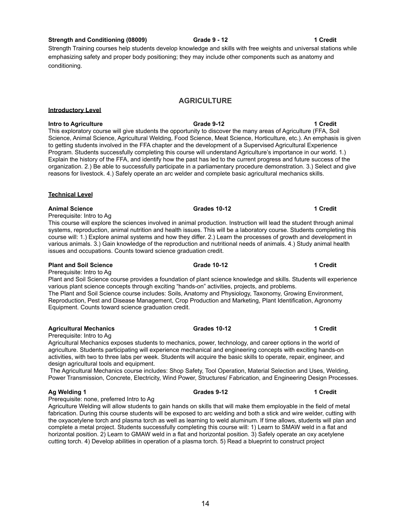## 14

## **Strength and Conditioning (08009) Grade 9 - 12 1 Credit**

Strength Training courses help students develop knowledge and skills with free weights and universal stations while emphasizing safety and proper body positioning; they may include other components such as anatomy and conditioning.

## **AGRICULTURE**

# **Introductory Level**

**Intro to Agriculture Grade 9-12 1 Credit** This exploratory course will give students the opportunity to discover the many areas of Agriculture (FFA, Soil Science, Animal Science, Agricultural Welding, Food Science, Meat Science, Horticulture, etc.). An emphasis is given to getting students involved in the FFA chapter and the development of a Supervised Agricultural Experience Program. Students successfully completing this course will understand Agriculture's importance in our world. 1.) Explain the history of the FFA, and identify how the past has led to the current progress and future success of the organization. 2.) Be able to successfully participate in a parliamentary procedure demonstration. 3.) Select and give reasons for livestock. 4.) Safely operate an arc welder and complete basic agricultural mechanics skills.

## **Technical Level**

## **Animal Science Grades 10-12 1 Credit**

Prerequisite: Intro to Ag

This course will explore the sciences involved in animal production. Instruction will lead the student through animal systems, reproduction, animal nutrition and health issues. This will be a laboratory course. Students completing this course will: 1.) Explore animal systems and how they differ. 2.) Learn the processes of growth and development in various animals. 3.) Gain knowledge of the reproduction and nutritional needs of animals. 4.) Study animal health issues and occupations. Counts toward science graduation credit.

## **Plant and Soil Science Grade 10-12 1 Credit**

Prerequisite: Intro to Ag

Plant and Soil Science course provides a foundation of plant science knowledge and skills. Students will experience various plant science concepts through exciting "hands-on" activities, projects, and problems. The Plant and Soil Science course includes: Soils, Anatomy and Physiology, Taxonomy, Growing Environment,

Reproduction, Pest and Disease Management, Crop Production and Marketing, Plant Identification, Agronomy Equipment. Counts toward science graduation credit.

## **Agricultural Mechanics Grades 10-12 1 Credit**

Prerequisite: Intro to Ag

Agricultural Mechanics exposes students to mechanics, power, technology, and career options in the world of agriculture. Students participating will experience mechanical and engineering concepts with exciting hands-on activities, with two to three labs per week. Students will acquire the basic skills to operate, repair, engineer, and design agricultural tools and equipment.

The Agricultural Mechanics course includes: Shop Safety, Tool Operation, Material Selection and Uses, Welding, Power Transmission, Concrete, Electricity, Wind Power, Structures/ Fabrication, and Engineering Design Processes.

## **Ag Welding 1 Grades 9-12 1 Credit**

Prerequisite: none, preferred Intro to Ag

Agriculture Welding will allow students to gain hands on skills that will make them employable in the field of metal fabrication. During this course students will be exposed to arc welding and both a stick and wire welder, cutting with the oxyacetylene torch and plasma torch as well as learning to weld aluminum. If time allows, students will plan and complete a metal project. Students successfully completing this course will: 1) Learn to SMAW weld in a flat and horizontal position. 2) Learn to GMAW weld in a flat and horizontal position. 3) Safely operate an oxy acetylene cutting torch. 4) Develop abilities in operation of a plasma torch. 5) Read a blueprint to construct project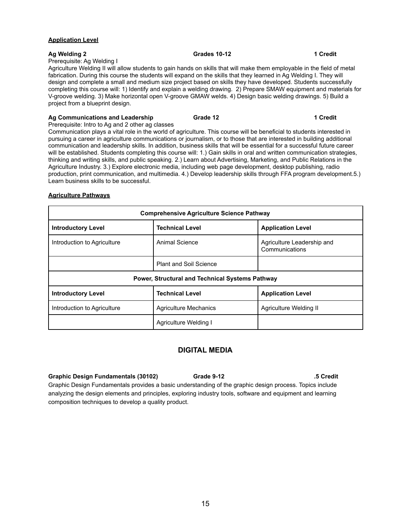## **Application Level**

## **Ag Welding 2 Grades 10-12 1 Credit**

## Prerequisite: Ag Welding I

Agriculture Welding II will allow students to gain hands on skills that will make them employable in the field of metal fabrication. During this course the students will expand on the skills that they learned in Ag Welding I. They will design and complete a small and medium size project based on skills they have developed. Students successfully completing this course will: 1) Identify and explain a welding drawing. 2) Prepare SMAW equipment and materials for V-groove welding. 3) Make horizontal open V-groove GMAW welds. 4) Design basic welding drawings. 5) Build a project from a blueprint design.

## **Ag Communications and Leadership Grade 12 1 Credit**

Prerequisite: Intro to Ag and 2 other ag classes Communication plays a vital role in the world of agriculture. This course will be beneficial to students interested in pursuing a career in agriculture communications or journalism, or to those that are interested in building additional communication and leadership skills. In addition, business skills that will be essential for a successful future career will be established. Students completing this course will: 1.) Gain skills in oral and written communication strategies, thinking and writing skills, and public speaking. 2.) Learn about Advertising, Marketing, and Public Relations in the Agriculture Industry. 3.) Explore electronic media, including web page development, desktop publishing, radio production, print communication, and multimedia. 4.) Develop leadership skills through FFA program development.5.) Learn business skills to be successful.

## **Agriculture Pathways**

| <b>Comprehensive Agriculture Science Pathway</b> |                                                    |                                              |  |
|--------------------------------------------------|----------------------------------------------------|----------------------------------------------|--|
| <b>Introductory Level</b>                        | <b>Technical Level</b>                             | <b>Application Level</b>                     |  |
| Introduction to Agriculture                      | Animal Science                                     | Agriculture Leadership and<br>Communications |  |
|                                                  | <b>Plant and Soil Science</b>                      |                                              |  |
| Power, Structural and Technical Systems Pathway  |                                                    |                                              |  |
| <b>Introductory Level</b>                        | <b>Technical Level</b><br><b>Application Level</b> |                                              |  |
| Introduction to Agriculture                      | <b>Agriculture Mechanics</b>                       | Agriculture Welding II                       |  |
|                                                  | Agriculture Welding I                              |                                              |  |

## **DIGITAL MEDIA**

## **Graphic Design Fundamentals (30102) Grade 9-12 .5 Credit**

Graphic Design Fundamentals provides a basic understanding of the graphic design process. Topics include analyzing the design elements and principles, exploring industry tools, software and equipment and learning composition techniques to develop a quality product.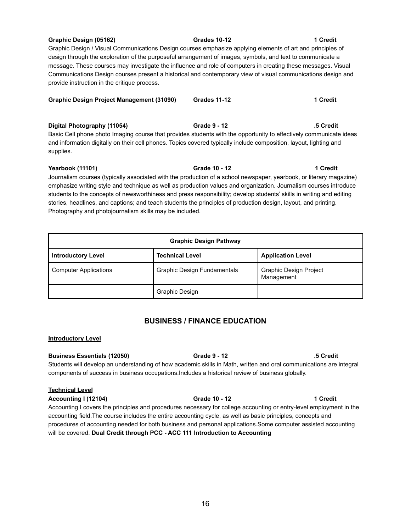# **Graphic Design (05162) Grades 10-12 1 Credit**

Graphic Design / Visual Communications Design courses emphasize applying elements of art and principles of design through the exploration of the purposeful arrangement of images, symbols, and text to communicate a message. These courses may investigate the influence and role of computers in creating these messages. Visual Communications Design courses present a historical and contemporary view of visual communications design and provide instruction in the critique process.

| <b>Graphic Design Project Management (31090)</b> | <b>Grades 11-12</b> | 1 Credit |
|--------------------------------------------------|---------------------|----------|
|                                                  |                     |          |

**Digital Photography (11054) Grade 9 - 12 .5 Credit** Basic Cell phone photo Imaging course that provides students with the opportunity to effectively communicate ideas and information digitally on their cell phones. Topics covered typically include composition, layout, lighting and supplies.

## **Yearbook (11101) Grade 10 - 12 1 Credit**

Journalism courses (typically associated with the production of a school newspaper, yearbook, or literary magazine) emphasize writing style and technique as well as production values and organization. Journalism courses introduce students to the concepts of newsworthiness and press responsibility; develop students' skills in writing and editing stories, headlines, and captions; and teach students the principles of production design, layout, and printing. Photography and photojournalism skills may be included.

| <b>Graphic Design Pathway</b> |                             |                                             |  |
|-------------------------------|-----------------------------|---------------------------------------------|--|
| <b>Introductory Level</b>     | <b>Technical Level</b>      | <b>Application Level</b>                    |  |
| <b>Computer Applications</b>  | Graphic Design Fundamentals | <b>Graphic Design Project</b><br>Management |  |
|                               | Graphic Design              |                                             |  |

# **BUSINESS / FINANCE EDUCATION**

# **Introductory Level**

# **Business Essentials (12050) Grade 9 - 12 .5 Credit**

Students will develop an understanding of how academic skills in Math, written and oral communications are integral components of success in business occupations.Includes a historical review of business globally.

# **Technical Level**

**Accounting I (12104) Grade 10 - 12 1 Credit**

Accounting I covers the principles and procedures necessary for college accounting or entry-level employment in the accounting field.The course includes the entire accounting cycle, as well as basic principles, concepts and procedures of accounting needed for both business and personal applications.Some computer assisted accounting will be covered. **Dual Credit through PCC - ACC 111 Introduction to Accounting**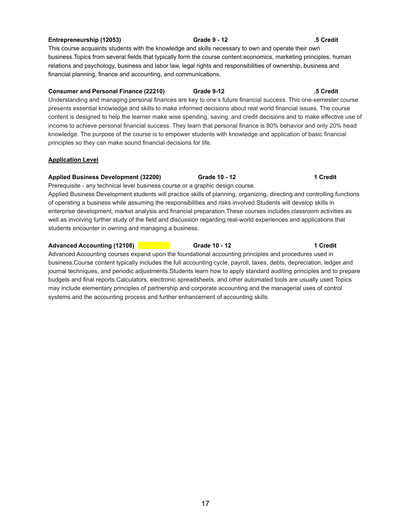# **Entrepreneurship (12053) Grade 9 - 12 .5 Credit**

This course acquaints students with the knowledge and skills necessary to own and operate their own business.Topics from several fields that typically form the course content:economics, marketing principles, human relations and psychology, business and labor law, legal rights and responsibilities of ownership, business and financial planning, finance and accounting, and communications.

## **Consumer and Personal Finance (22210) Grade 9-12 .5 Credit**

Understanding and managing personal finances are key to one's future financial success. This one-semester course presents essential knowledge and skills to make informed decisions about real world financial issues. The course content is designed to help the learner make wise spending, saving, and credit decisions and to make effective use of income to achieve personal financial success. They learn that personal finance is 80% behavior and only 20% head knowledge. The purpose of the course is to empower students with knowledge and application of basic financial principles so they can make sound financial decisions for life.

## **Application Level**

## **Applied Business Development (32200) Grade 10 - 12 1 Credit**

Prerequisite - any technical level business course or a graphic design course. Applied Business Development students will practice skills of planning, organizing, directing and controlling functions of operating a business while assuming the responsibilities and risks involved.Students will develop skills in enterprise development, market analysis and financial preparation.These courses includes classroom activities as well as involving further study of the field and discussion regarding real-world experiences and applications that students encounter in owning and managing a business.

## **Advanced Accounting (12108) Grade 10 - 12 1 Credit**

Advanced Accounting courses expand upon the foundational accounting principles and procedures used in business.Course content typically includes the full accounting cycle, payroll, taxes, debts, depreciation, ledger and journal techniques, and periodic adjustments.Students learn how to apply standard auditing principles and to prepare budgets and final reports.Calculators, electronic spreadsheets, and other automated tools are usually used.Topics may include elementary principles of partnership and corporate accounting and the managerial uses of control systems and the accounting process and further enhancement of accounting skills.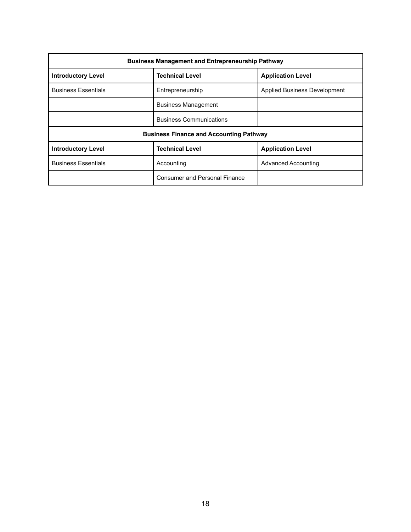| <b>Business Management and Entrepreneurship Pathway</b> |                                      |                              |  |
|---------------------------------------------------------|--------------------------------------|------------------------------|--|
| <b>Introductory Level</b>                               | <b>Technical Level</b>               | <b>Application Level</b>     |  |
| <b>Business Essentials</b>                              | Entrepreneurship                     | Applied Business Development |  |
|                                                         | <b>Business Management</b>           |                              |  |
|                                                         | <b>Business Communications</b>       |                              |  |
| <b>Business Finance and Accounting Pathway</b>          |                                      |                              |  |
| <b>Introductory Level</b>                               | <b>Technical Level</b>               | <b>Application Level</b>     |  |
| <b>Business Essentials</b>                              | Accounting                           | Advanced Accounting          |  |
|                                                         | <b>Consumer and Personal Finance</b> |                              |  |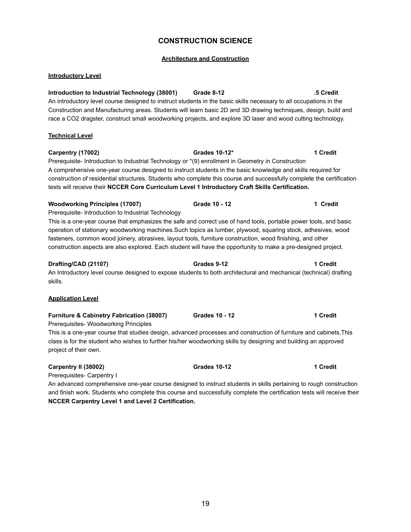# **CONSTRUCTION SCIENCE**

## **Architecture and Construction**

## **Introductory Level**

**Introduction to Industrial Technology (38001) Grade 8-12 .5 Credit** An introductory level course designed to instruct students in the basic skills necessary to all occupations in the Construction and Manufacturing areas. Students will learn basic 2D and 3D drawing techniques, design, build and race a CO2 dragster, construct small woodworking projects, and explore 3D laser and wood cutting technology.

## **Technical Level**

**Carpentry (17002) Grades 10-12\* 1 Credit** Prerequisite- Introduction to Industrial Technology or \*(9) enrollment in Geometry in Construction A comprehensive one-year course designed to instruct students in the basic knowledge and skills required for construction of residential structures. Students who complete this course and successfully complete the certification tests will receive their **NCCER Core Curriculum Level 1 Introductory Craft Skills Certification.**

## **Woodworking Principles (17007) Grade 10 - 12 1 Credit**

Prerequisite- Introduction to Industrial Technology This is a one-year course that emphasizes the safe and correct use of hand tools, portable power tools, and basic operation of stationary woodworking machines.Such topics as lumber, plywood, squaring stock, adhesives, wood

fasteners, common wood joinery, abrasives, layout tools, furniture construction, wood finishing, and other construction aspects are also explored. Each student will have the opportunity to make a pre-designed project.

## **Drafting/CAD (21107) Grades 9-12 1 Credit**

An Introductory level course designed to expose students to both architectural and mechanical (technical) drafting skills.

## **Application Level**

## **Furniture & Cabinetry Fabrication (38007) Grades 10 - 12 1 Credit**

Prerequisites- Woodworking Principles

This is a one-year course that studies design, advanced processes and construction of furniture and cabinets.This class is for the student who wishes to further his/her woodworking skills by designing and building an approved project of their own.

## **Carpentry II (38002) Grades 10-12 1 Credit**

Prerequisites- Carpentry I

An advanced comprehensive one-year course designed to instruct students in skills pertaining to rough construction and finish work. Students who complete this course and successfully complete the certification tests will receive their **NCCER Carpentry Level 1 and Level 2 Certification.**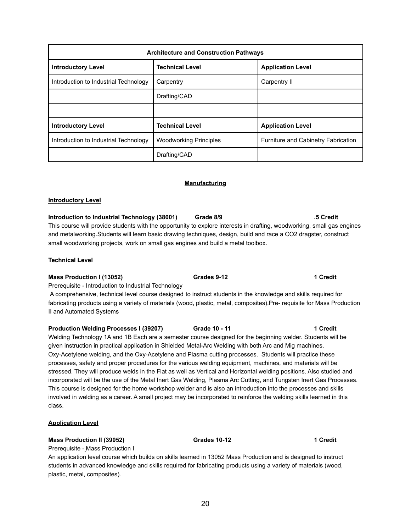| <b>Architecture and Construction Pathways</b> |                               |                                     |  |
|-----------------------------------------------|-------------------------------|-------------------------------------|--|
| <b>Introductory Level</b>                     | <b>Technical Level</b>        | <b>Application Level</b>            |  |
| Introduction to Industrial Technology         | Carpentry                     | Carpentry II                        |  |
|                                               | Drafting/CAD                  |                                     |  |
|                                               |                               |                                     |  |
| <b>Introductory Level</b>                     | <b>Technical Level</b>        | <b>Application Level</b>            |  |
| Introduction to Industrial Technology         | <b>Woodworking Principles</b> | Furniture and Cabinetry Fabrication |  |
|                                               | Drafting/CAD                  |                                     |  |

## **Manufacturing**

## **Introductory Level**

**Introduction to Industrial Technology (38001) Grade 8/9 .5 Credit** This course will provide students with the opportunity to explore interests in drafting, woodworking, small gas engines and metalworking.Students will learn basic drawing techniques, design, build and race a CO2 dragster, construct small woodworking projects, work on small gas engines and build a metal toolbox.

## **Technical Level**

**Mass Production I (13052) Grades 9-12 1 Credit** Prerequisite - Introduction to Industrial Technology A comprehensive, technical level course designed to instruct students in the knowledge and skills required for fabricating products using a variety of materials (wood, plastic, metal, composites).Pre- requisite for Mass Production II and Automated Systems

**Production Welding Processes I (39207) Grade 10 - 11 1 Credit** Welding Technology 1A and 1B Each are a semester course designed for the beginning welder. Students will be given instruction in practical application in Shielded Metal-Arc Welding with both Arc and Mig machines. Oxy-Acetylene welding, and the Oxy-Acetylene and Plasma cutting processes. Students will practice these processes, safety and proper procedures for the various welding equipment, machines, and materials will be stressed. They will produce welds in the Flat as well as Vertical and Horizontal welding positions. Also studied and incorporated will be the use of the Metal Inert Gas Welding, Plasma Arc Cutting, and Tungsten Inert Gas Processes. This course is designed for the home workshop welder and is also an introduction into the processes and skills involved in welding as a career. A small project may be incorporated to reinforce the welding skills learned in this class.

# **Application Level**

# **Mass Production II (39052) Grades 10-12 1 Credit**

plastic, metal, composites).

Prerequisite - Mass Production I An application level course which builds on skills learned in 13052 Mass Production and is designed to instruct students in advanced knowledge and skills required for fabricating products using a variety of materials (wood,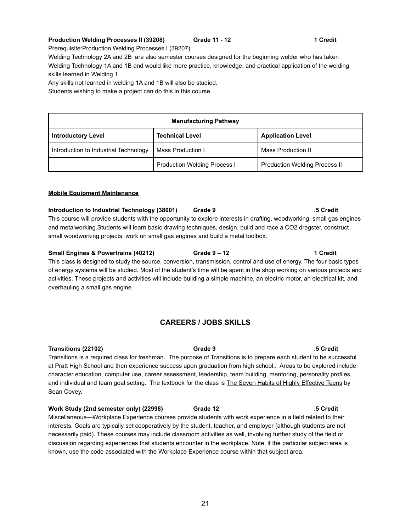## **Production Welding Processes II (39208) Grade 11 - 12 1 Credit**

Prerequisite:Production Welding Processes I (39207)

Welding Technology 2A and 2B are also semester courses designed for the beginning welder who has taken Welding Technology 1A and 1B and would like more practice, knowledge, and practical application of the welding skills learned in Welding 1

Any skills not learned in welding 1A and 1B will also be studied.

Students wishing to make a project can do this in this course.

| <b>Manufacturing Pathway</b>                                                    |                                     |                                      |  |
|---------------------------------------------------------------------------------|-------------------------------------|--------------------------------------|--|
| <b>Introductory Level</b><br><b>Technical Level</b><br><b>Application Level</b> |                                     |                                      |  |
| Introduction to Industrial Technology                                           | Mass Production I                   | Mass Production II                   |  |
|                                                                                 | <b>Production Welding Process I</b> | <b>Production Welding Process II</b> |  |

## **Mobile Equipment Maintenance**

**Introduction to Industrial Technology (38001) Grade 9 .5 Credit** This course will provide students with the opportunity to explore interests in drafting, woodworking, small gas engines and metalworking.Students will learn basic drawing techniques, design, build and race a CO2 dragster, construct small woodworking projects, work on small gas engines and build a metal toolbox.

**Small Engines & Powertrains (40212) Grade 9 – 12 1 Credit** This class is designed to study the source, conversion, transmission, control and use of energy. The four basic types of energy systems will be studied. Most of the student's time will be spent in the shop working on various projects and activities. These projects and activities will include building a simple machine, an electric motor, an electrical kit, and overhauling a small gas engine.

# **CAREERS / JOBS SKILLS**

**Transitions (22102) Grade 9 .5 Credit**

Transitions is a required class for freshman. The purpose of Transitions is to prepare each student to be successful at Pratt High School and then experience success upon graduation from high school.. Areas to be explored include character education, computer use, career assessment, leadership, team building, mentoring, personality profiles, and individual and team goal setting. The textbook for the class is The Seven Habits of Highly Effective Teens by Sean Covey.

**Work Study (2nd semester only) (22998) Grade 12 .5 Credit** Miscellaneous—Workplace Experience courses provide students with work experience in a field related to their interests. Goals are typically set cooperatively by the student, teacher, and employer (although students are not necessarily paid). These courses may include classroom activities as well, involving further study of the field or discussion regarding experiences that students encounter in the workplace. Note: if the particular subject area is known, use the code associated with the Workplace Experience course within that subject area.